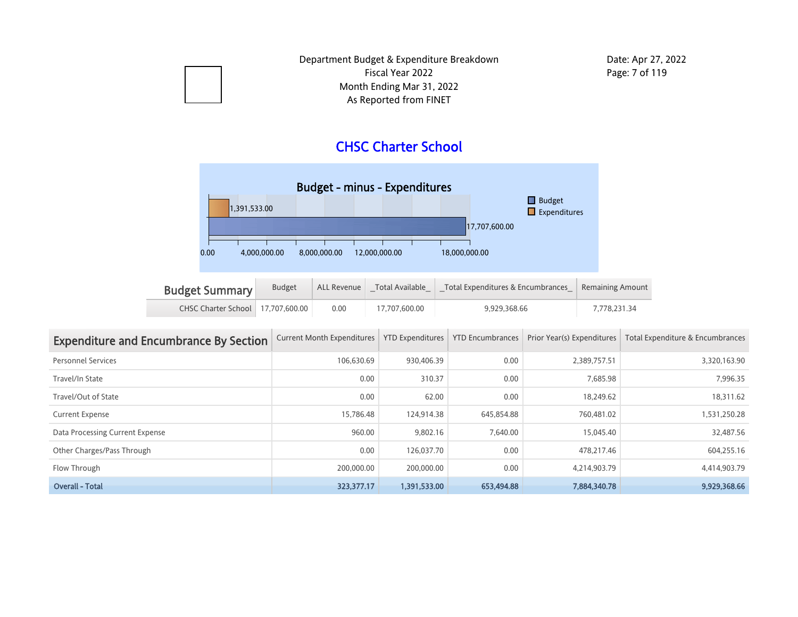## CHSC Charter School



| <b>Budget Summary</b>               | <b>Budget</b> | ALL Revenue $\parallel$ | Total Available | Total Expenditures & Encumbrances | Remaining Amount |
|-------------------------------------|---------------|-------------------------|-----------------|-----------------------------------|------------------|
| CHSC Charter School   17.707.600.00 |               | 0.00                    | 17.707.600.00   | 9.929.368.66                      | 7.778.231.34     |

| <b>Expenditure and Encumbrance By Section</b> | <b>Current Month Expenditures</b> | <b>YTD Expenditures</b> | <b>YTD Encumbrances</b> | Prior Year(s) Expenditures | Total Expenditure & Encumbrances |
|-----------------------------------------------|-----------------------------------|-------------------------|-------------------------|----------------------------|----------------------------------|
| <b>Personnel Services</b>                     | 106.630.69                        | 930.406.39              | 0.00                    | 2.389.757.51               | 3,320,163.90                     |
| Travel/In State                               | 0.00                              | 310.37                  | 0.00                    | 7,685.98                   | 7,996.35                         |
| Travel/Out of State                           | 0.00                              | 62.00                   | 0.00                    | 18.249.62                  | 18,311.62                        |
| <b>Current Expense</b>                        | 15.786.48                         | 124.914.38              | 645,854.88              | 760.481.02                 | 1,531,250.28                     |
| Data Processing Current Expense               | 960.00                            | 9,802.16                | 7.640.00                | 15.045.40                  | 32,487.56                        |
| Other Charges/Pass Through                    | 0.00                              | 126.037.70              | 0.00                    | 478.217.46                 | 604,255.16                       |
| Flow Through                                  | 200.000.00                        | 200,000.00              | 0.00                    | 4,214,903.79               | 4,414,903.79                     |
| <b>Overall - Total</b>                        | 323,377.17                        | 1.391.533.00            | 653,494.88              | 7,884,340.78               | 9.929.368.66                     |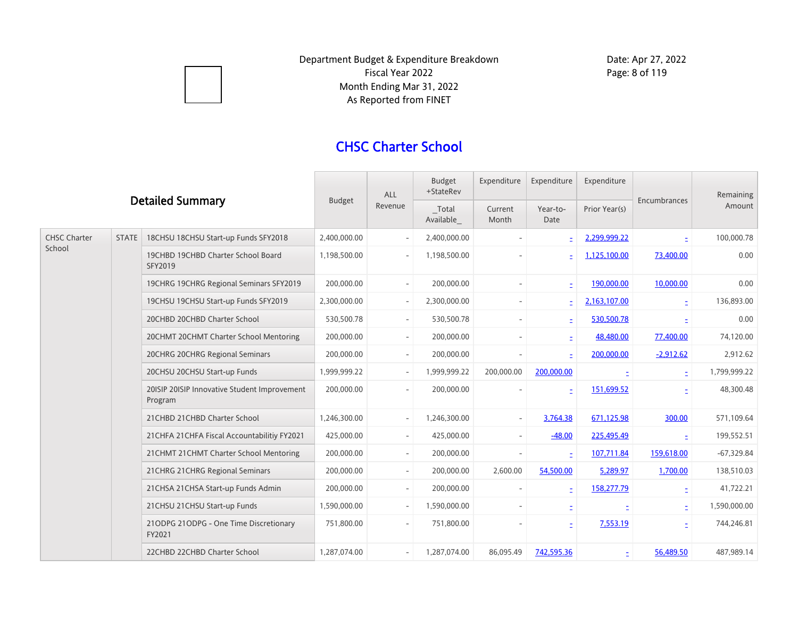

## CHSC Charter School

|                     |              | <b>Budget</b>                                           | <b>ALL</b>   | Budget<br>+StateRev      | Expenditure        | Expenditure              | Expenditure              |               | Remaining    |              |
|---------------------|--------------|---------------------------------------------------------|--------------|--------------------------|--------------------|--------------------------|--------------------------|---------------|--------------|--------------|
|                     |              | <b>Detailed Summary</b>                                 |              | Revenue                  | Total<br>Available | Current<br>Month         | Year-to-<br>Date         | Prior Year(s) | Encumbrances | Amount       |
| <b>CHSC Charter</b> | <b>STATE</b> | 18CHSU 18CHSU Start-up Funds SFY2018                    | 2,400,000.00 |                          | 2,400,000.00       |                          | Ξ                        | 2,299,999.22  |              | 100,000.78   |
| School              |              | 19CHBD 19CHBD Charter School Board<br>SFY2019           | 1,198,500.00 | $\overline{\phantom{a}}$ | 1,198,500.00       |                          |                          | 1,125,100.00  | 73,400.00    | 0.00         |
|                     |              | 19CHRG 19CHRG Regional Seminars SFY2019                 | 200,000.00   | $\overline{\phantom{a}}$ | 200.000.00         | $\overline{\phantom{0}}$ |                          | 190,000.00    | 10,000.00    | 0.00         |
|                     |              | 19CHSU 19CHSU Start-up Funds SFY2019                    | 2,300,000.00 | $\overline{\phantom{a}}$ | 2,300,000.00       | $\overline{\phantom{a}}$ | ÷.                       | 2,163,107.00  | ÷.           | 136,893.00   |
|                     |              | 20CHBD 20CHBD Charter School                            | 530,500.78   | $\overline{\phantom{a}}$ | 530,500.78         | $\overline{\phantom{a}}$ | ÷.                       | 530,500.78    | E            | 0.00         |
|                     |              | 20CHMT 20CHMT Charter School Mentoring                  | 200,000.00   | $\overline{\phantom{a}}$ | 200,000.00         | $\overline{\phantom{a}}$ | $\equiv$                 | 48,480.00     | 77,400.00    | 74,120.00    |
|                     |              | 20CHRG 20CHRG Regional Seminars                         | 200,000.00   | $\overline{\phantom{a}}$ | 200,000.00         |                          | Ë                        | 200,000.00    | $-2,912.62$  | 2,912.62     |
|                     |              | 20CHSU 20CHSU Start-up Funds                            | 1.999.999.22 | $\overline{\phantom{a}}$ | 1.999.999.22       | 200,000.00               | 200,000.00               |               | Ë            | 1,799,999.22 |
|                     |              | 20ISIP 20ISIP Innovative Student Improvement<br>Program | 200,000.00   | $\overline{\phantom{a}}$ | 200,000.00         |                          | $\overline{\phantom{a}}$ | 151,699.52    |              | 48,300.48    |
|                     |              | 21 CHBD 21 CHBD Charter School                          | 1,246,300.00 | $\overline{\phantom{a}}$ | 1,246,300.00       | $\overline{\phantom{a}}$ | 3,764.38                 | 671,125.98    | 300.00       | 571,109.64   |
|                     |              | 21 CHFA 21 CHFA Fiscal Accountabilitiy FY2021           | 425,000.00   | $\overline{\phantom{a}}$ | 425,000.00         | $\overline{\phantom{a}}$ | $-48.00$                 | 225,495.49    | E.           | 199,552.51   |
|                     |              | 21 CHMT 21 CHMT Charter School Mentoring                | 200,000.00   | $\overline{\phantom{a}}$ | 200,000.00         | $\overline{\phantom{a}}$ | $\equiv$                 | 107,711.84    | 159,618.00   | $-67,329.84$ |
|                     |              | 21 CHRG 21 CHRG Regional Seminars                       | 200,000.00   | $\overline{\phantom{a}}$ | 200,000.00         | 2,600.00                 | 54,500.00                | 5,289.97      | 1,700.00     | 138,510.03   |
|                     |              | 21 CHSA 21 CHSA Start-up Funds Admin                    | 200,000.00   | $\overline{\phantom{a}}$ | 200,000.00         | $\overline{\phantom{a}}$ | Ξ                        | 158,277.79    | Ξ            | 41,722.21    |
|                     |              | 21 CHSU 21 CHSU Start-up Funds                          | 1,590,000.00 | $\overline{\phantom{a}}$ | 1,590,000.00       | $\overline{\phantom{a}}$ | È,                       |               | Ξ            | 1,590,000.00 |
|                     |              | 21ODPG 21ODPG - One Time Discretionary<br>FY2021        | 751,800.00   | $\overline{\phantom{a}}$ | 751,800.00         |                          | E                        | 7,553.19      | Ë            | 744,246.81   |
|                     |              | 22CHBD 22CHBD Charter School                            | 1,287,074.00 | $\overline{\phantom{a}}$ | 1,287,074.00       | 86,095.49                | 742,595.36               | ÷.            | 56,489.50    | 487,989.14   |